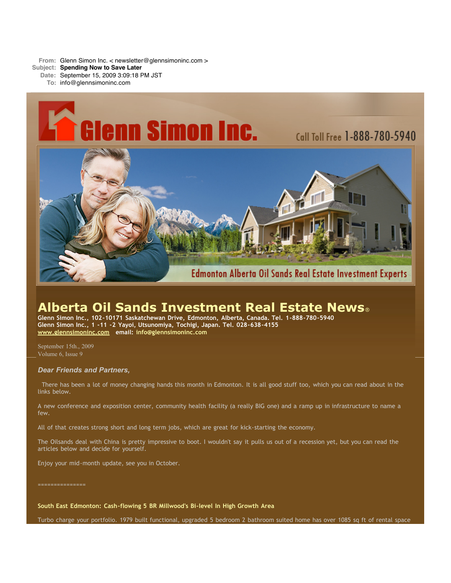**From:** Glenn Simon Inc. < newsletter@glennsimoninc.com > **Subject: Spending Now to Save Later Date:** September 15, 2009 3:09:18 PM JST

**To:** info@glennsimoninc.com



# **Alberta Oil Sands Investment Real Estate News**®

**Glenn Simon Inc., 102-10171 Saskatchewan Drive, Edmonton, Alberta, Canada. Tel. 1-888-780-5940 Glenn Simon Inc., 1 -11 -2 Yayoi, Utsunomiya, Tochigi, Japan. Tel. 028-638-4155 [www.glennsimoninc.com](http://www.glennsimoninc.com/) email: [info@glennsimoninc.com](mailto:info@glennsimoninc.com)**

September 15th., 2009 Volume 6, Issue 9

# *Dear Friends and Partners,*

There has been a lot of money changing hands this month in Edmonton. It is all good stuff too, which you can read about in the links below.

A new conference and exposition center, community health facility (a really BIG one) and a ramp up in infrastructure to name a few.

All of that creates strong short and long term jobs, which are great for kick-starting the economy.

The Oilsands deal with China is pretty impressive to boot. I wouldn't say it pulls us out of a recession yet, but you can read the articles below and decide for yourself.

Enjoy your mid-month update, see you in October.

===============

**South East Edmonton: Cash-flowing 5 BR Millwood's Bi-level In High Growth Area**

Turbo charge your portfolio. 1979 built functional, upgraded 5 bedroom 2 bathroom suited home has over 1085 sq ft of rental space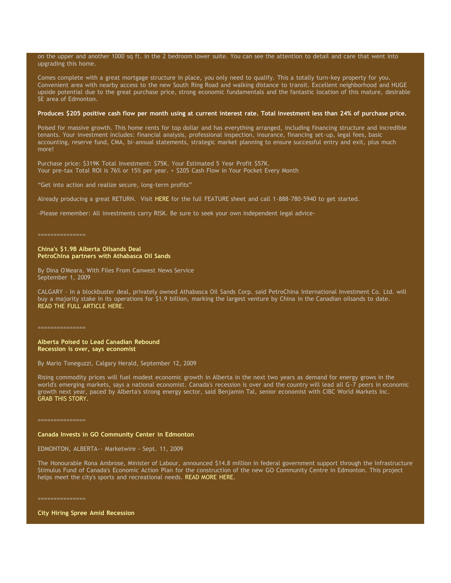### on the upper and another 1000 sq ft. in the 2 bedroom lower suite. You can see the attention to detail and care that went into upgrading this home.

Comes complete with a great mortgage structure in place, you only need to qualify. This a totally turn-key property for you. Convenient area with nearby access to the new South Ring Road and walking distance to transit. Excellent neighborhood and HUGE upside potential due to the great purchase price, strong economic fundamentals and the fantastic location of this mature, desirable SE area of Edmonton.

# Produces \$205 positive cash flow per month using at current interest rate. Total [investment](http://www.glennsimoninc.com/featured_detail.php?id=66) less than 24% of purchase price.

Poised for massive growth. This home rents for top dollar and has everything arranged, including financing structure and incredible tenants. Your investment includes: financial analysis, professional inspection, insurance, financing set-up, legal fees, basic accounting, reserve fund, CMA, bi-annual statements, strategic market planning to ensure successful entry and exit, plus much more!

Purchase price: \$319K Total Investment: \$75K. Your Estimated 5 Year Profit \$57K. Your pre-tax Total ROI is 76% or 15% per year. + \$205 Cash Flow in Your Pocket Every Month

"Get into action and realize secure, long-term profits"

Already producing a great RETURN. Visit [HERE](http://www.glennsimoninc.com/featured_detail.php?id=66) for the full FEATURE sheet and call 1-888-780-5940 to get started.

-Please remember: All investments carry RISK. Be sure to seek your own independent legal advice-

===============

### **China's \$1.9B Alberta Oilsands Deal PetroChina partners with Athabasca Oil Sands**

By Dina O'Meara, With Files From Canwest News Service September 1, 2009

CALGARY - In a blockbuster deal, privately owned Athabasca Oil Sands Corp. said PetroChina International Investment Co. Ltd. will buy a majority stake in its operations for \$1.9 billion, marking the largest venture by China in the Canadian oilsands to date. READ THE FULL [ARTICLE](http://www.calgaryherald.com/entertainment/China+Alberta+oilsands+deal/1950010/story.html) HERE.

===============

#### **Alberta Poised to Lead Canadian Rebound Recession is over, says economist**

By Mario Toneguzzi, Calgary Herald, September 12, 2009

Rising commodity prices will fuel modest economic growth in Alberta in the next two years as demand for energy grows in the world's emerging markets, says a national economist. Canada's recession is over and the country will lead all G-7 peers in economic growth next year, paced by Alberta's strong energy sector, said Benjamin Tal, senior economist with CIBC World Markets Inc. GRAB THIS [STORY.](http://www.calgaryherald.com/business/Alberta+poised+lead+Canadian+rebound/1987171/story.html)

===============

#### **Canada Invests in GO Community Center in Edmonton**

EDMONTON, ALBERTA-- Marketwire - Sept. 11, 2009

The Honourable Rona Ambrose, Minister of Labour, announced \$14.8 million in federal government support through the Infrastructure Stimulus Fund of Canada's Economic Action Plan for the construction of the new GO Community Centre in Edmonton. This project helps meet the city's sports and recreational needs. READ MORE [HERE.](http://www.marketwire.com/press-release/Infrastructure-Canada-1043546.html)

===============

**City Hiring Spree Amid Recession**